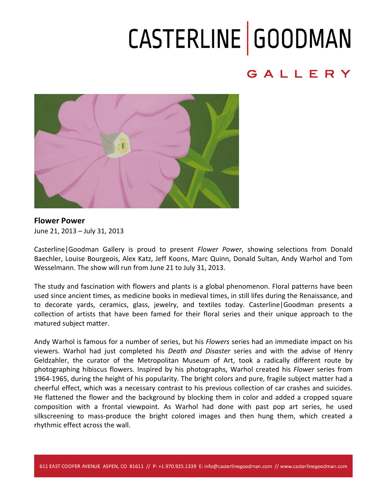### CASTERLINE GOODMAN

#### GALLERY



**Flower Power** June 21, 2013 - July 31, 2013

Casterline Goodman Gallery is proud to present *Flower Power*, showing selections from Donald Baechler, Louise Bourgeois, Alex Katz, Jeff Koons, Marc Quinn, Donald Sultan, Andy Warhol and Tom Wesselmann. The show will run from June 21 to July 31, 2013.

The study and fascination with flowers and plants is a global phenomenon. Floral patterns have been used since ancient times, as medicine books in medieval times, in still lifes during the Renaissance, and to decorate yards, ceramics, glass, jewelry, and textiles today. Casterline|Goodman presents a collection of artists that have been famed for their floral series and their unique approach to the matured subject matter.

Andy Warhol is famous for a number of series, but his *Flowers* series had an immediate impact on his viewers. Warhol had just completed his *Death and Disaster* series and with the advise of Henry Geldzahler, the curator of the Metropolitan Museum of Art, took a radically different route by photographing hibiscus flowers. Inspired by his photographs, Warhol created his *Flower* series from 1964-1965, during the height of his popularity. The bright colors and pure, fragile subject matter had a cheerful effect, which was a necessary contrast to his previous collection of car crashes and suicides. He flattened the flower and the background by blocking them in color and added a cropped square composition with a frontal viewpoint. As Warhol had done with past pop art series, he used silkscreening to mass-produce the bright colored images and then hung them, which created a rhythmic effect across the wall.

611 EAST COOPER AVENUE ASPEN, CO 81611 // P: +1.970.925.1339 E: info@casterlinegoodman.com // www.casterlinegoodman.com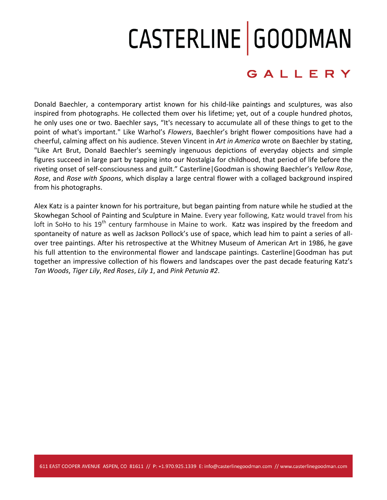# CASTERLINE GOODMAN

#### GALLERY

Donald Baechler, a contemporary artist known for his child-like paintings and sculptures, was also inspired from photographs. He collected them over his lifetime; yet, out of a couple hundred photos, he only uses one or two. Baechler says, "It's necessary to accumulate all of these things to get to the point of what's important." Like Warhol's *Flowers*, Baechler's bright flower compositions have had a cheerful, calming affect on his audience. Steven Vincent in Art in America wrote on Baechler by stating, "Like Art Brut, Donald Baechler's seemingly ingenuous depictions of everyday objects and simple figures succeed in large part by tapping into our Nostalgia for childhood, that period of life before the riveting onset of self-consciousness and guilt." Casterline Goodman is showing Baechler's *Yellow Rose*, *Rose*, and *Rose with Spoons*, which display a large central flower with a collaged background inspired from his photographs.

Alex Katz is a painter known for his portraiture, but began painting from nature while he studied at the Skowhegan School of Painting and Sculpture in Maine. Every year following, Katz would travel from his loft in SoHo to his  $19<sup>th</sup>$  century farmhouse in Maine to work. Katz was inspired by the freedom and spontaneity of nature as well as Jackson Pollock's use of space, which lead him to paint a series of allover tree paintings. After his retrospective at the Whitney Museum of American Art in 1986, he gave his full attention to the environmental flower and landscape paintings. Casterline Goodman has put together an impressive collection of his flowers and landscapes over the past decade featuring Katz's *Tan Woods*, *Tiger Lily*, *Red Roses*, *Lily 1*, and *Pink Petunia #2*.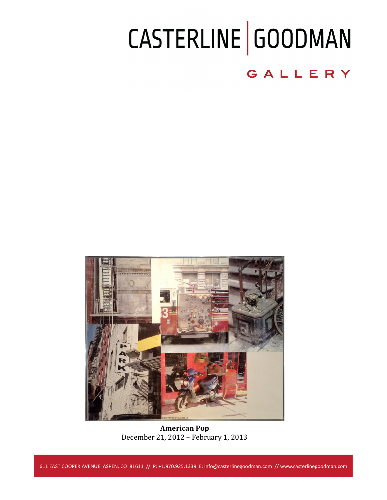## CASTERLINE GOODMAN

#### GALLERY



**American Pop** December 21, 2012 - February 1, 2013

611 EAST COOPER AVENUE ASPEN, CO 81611 // P: +1.970.925.1339 E: info@casterlinegoodman.com // www.casterlinegoodman.com